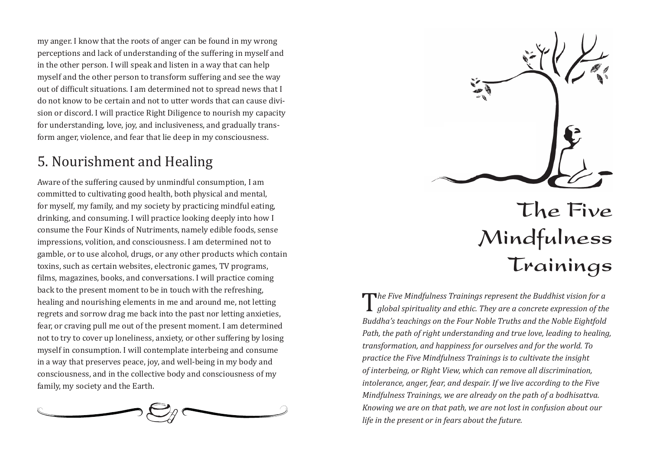my anger. I know that the roots of anger can be found in my wrong perceptions and lack of understanding of the suffering in myself and in the other person. I will speak and listen in a way that can help myself and the other person to transform suffering and see the way out of difficult situations. I am determined not to spread news that I do not know to be certain and not to utter words that can cause division or discord. I will practice Right Diligence to nourish my capacity for understanding, love, joy, and inclusiveness, and gradually transform anger, violence, and fear that lie deep in my consciousness.

### 5. Nourishment and Healing

Aware of the suffering caused by unmindful consumption, I am committed to cultivating good health, both physical and mental, for myself, my family, and my society by practicing mindful eating, drinking, and consuming. I will practice looking deeply into how I consume the Four Kinds of Nutriments, namely edible foods, sense impressions, volition, and consciousness. I am determined not to gamble, or to use alcohol, drugs, or any other products which contain toxins, such as certain websites, electronic games, TV programs, films, magazines, books, and conversations. I will practice coming back to the present moment to be in touch with the refreshing, healing and nourishing elements in me and around me, not letting regrets and sorrow drag me back into the past nor letting anxieties, fear, or craving pull me out of the present moment. I am determined not to try to cover up loneliness, anxiety, or other suffering by losing myself in consumption. I will contemplate interbeing and consume in a way that preserves peace, joy, and well-being in my body and consciousness, and in the collective body and consciousness of my family, my society and the Earth.





# **The Five Mindfulness Trainings**

The Five Mindfulness Trainings represent the Buddhist vision for a *global spirituality and ethic. They are a concrete expression of the Buddha's teachinas on the Four Noble Truths and the Noble Eightfold global spirituality and ethic. They are a concrete expression of the Buddha's teachings on the Four Noble Truths and the Noble Eightfold Path, the path of right understanding and true love, leading to healing, transformation, and happiness for ourselves and for the world. To practice the Five Mindfulness Trainings is to cultivate the insight of interbeing, or Right View, which can remove all discrimination, intolerance, anger, fear, and despair. If we live according to the Five Mindfulness Trainings, we are already on the path of a bodhisattva. Knowing we are on that path, we are not lost in confusion about our life in the present or in fears about the future.*